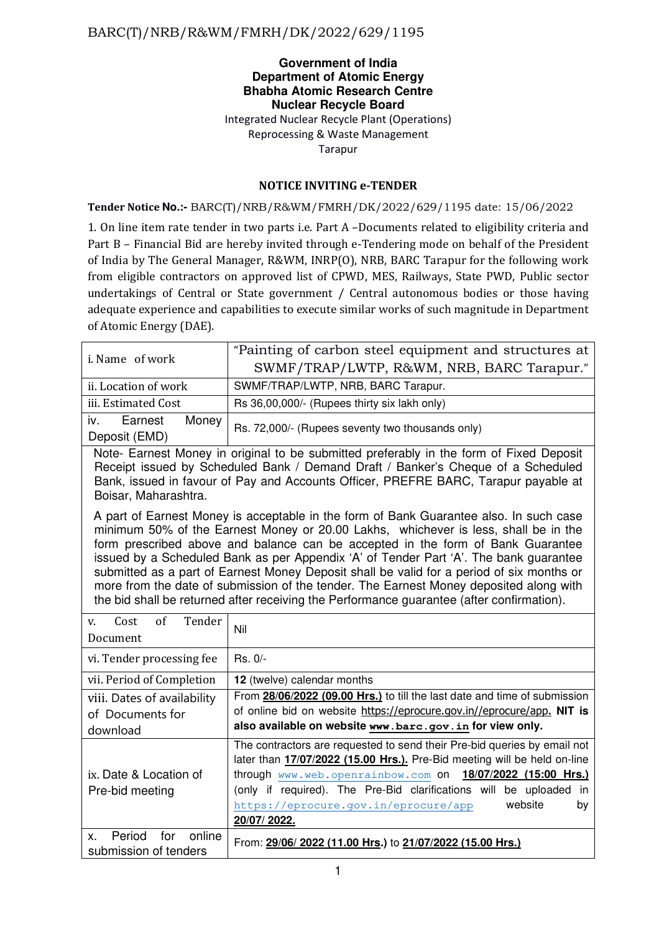### **Government of India Department of Atomic Energy Bhabha Atomic Research Centre Nuclear Recycle Board**  Integrated Nuclear Recycle Plant (Operations) Reprocessing & Waste Management Tarapur

### **NOTICE INVITING e-TENDER**

#### **Tender Notice No.:-** BARC(T)/NRB/R&WM/FMRH/DK/2022/629/1195 date: 15/06/2022

1. On line item rate tender in two parts i.e. Part A –Documents related to eligibility criteria and Part B – Financial Bid are hereby invited through e-Tendering mode on behalf of the President of India by The General Manager, R&WM, INRP(O), NRB, BARC Tarapur for the following work from eligible contractors on approved list of CPWD, MES, Railways, State PWD, Public sector undertakings of Central or State government / Central autonomous bodies or those having adequate experience and capabilities to execute similar works of such magnitude in Department of Atomic Energy (DAE).

|                                                                                         | "Painting of carbon steel equipment and structures at |  |  |  |  |
|-----------------------------------------------------------------------------------------|-------------------------------------------------------|--|--|--|--|
| i. Name of work                                                                         | SWMF/TRAP/LWTP, R&WM, NRB, BARC Tarapur."             |  |  |  |  |
| ii. Location of work                                                                    | SWMF/TRAP/LWTP, NRB, BARC Tarapur.                    |  |  |  |  |
| iii. Estimated Cost                                                                     | Rs 36,00,000/- (Rupees thirty six lakh only)          |  |  |  |  |
| Money<br>Earnest<br>İV.                                                                 | Rs. 72,000/- (Rupees seventy two thousands only)      |  |  |  |  |
| Deposit (EMD)                                                                           |                                                       |  |  |  |  |
| Note- Earnest Money in original to be submitted preferably in the form of Fixed Deposit |                                                       |  |  |  |  |
| Receipt issued by Scheduled Bank / Demand Draft / Banker's Cheque of a Scheduled        |                                                       |  |  |  |  |
| Bank, issued in favour of Pay and Accounts Officer, PREFRE BARC, Tarapur payable at     |                                                       |  |  |  |  |
| Boisar, Maharashtra.                                                                    |                                                       |  |  |  |  |

A part of Earnest Money is acceptable in the form of Bank Guarantee also. In such case minimum 50% of the Earnest Money or 20.00 Lakhs, whichever is less, shall be in the form prescribed above and balance can be accepted in the form of Bank Guarantee issued by a Scheduled Bank as per Appendix 'A' of Tender Part 'A'. The bank guarantee submitted as a part of Earnest Money Deposit shall be valid for a period of six months or more from the date of submission of the tender. The Earnest Money deposited along with the bid shall be returned after receiving the Performance guarantee (after confirmation).

| of<br>Tender<br>Cost<br>V.<br>Document                      | Nil                                                                                                                                                                                                                                                                                                                                                                        |
|-------------------------------------------------------------|----------------------------------------------------------------------------------------------------------------------------------------------------------------------------------------------------------------------------------------------------------------------------------------------------------------------------------------------------------------------------|
| vi. Tender processing fee                                   | $Rs. 0/-$                                                                                                                                                                                                                                                                                                                                                                  |
| vii. Period of Completion                                   | 12 (twelve) calendar months                                                                                                                                                                                                                                                                                                                                                |
| viii. Dates of availability<br>of Documents for<br>download | From 28/06/2022 (09.00 Hrs.) to till the last date and time of submission<br>of online bid on website https://eprocure.gov.in//eprocure/app. NIT is<br>also available on website www.barc.gov.in for view only.                                                                                                                                                            |
| ix. Date & Location of<br>Pre-bid meeting                   | The contractors are requested to send their Pre-bid queries by email not<br>later than 17/07/2022 (15.00 Hrs.). Pre-Bid meeting will be held on-line<br>through www.web.openrainbow.com on 18/07/2022 (15:00 Hrs.)<br>(only if required). The Pre-Bid clarifications will be uploaded<br><i>in</i><br>website<br>https://eprocure.gov.in/eprocure/app<br>by<br>20/07/2022. |
| Period<br>online<br>for<br>Χ.<br>submission of tenders      | From: 29/06/2022 (11.00 Hrs.) to 21/07/2022 (15.00 Hrs.)                                                                                                                                                                                                                                                                                                                   |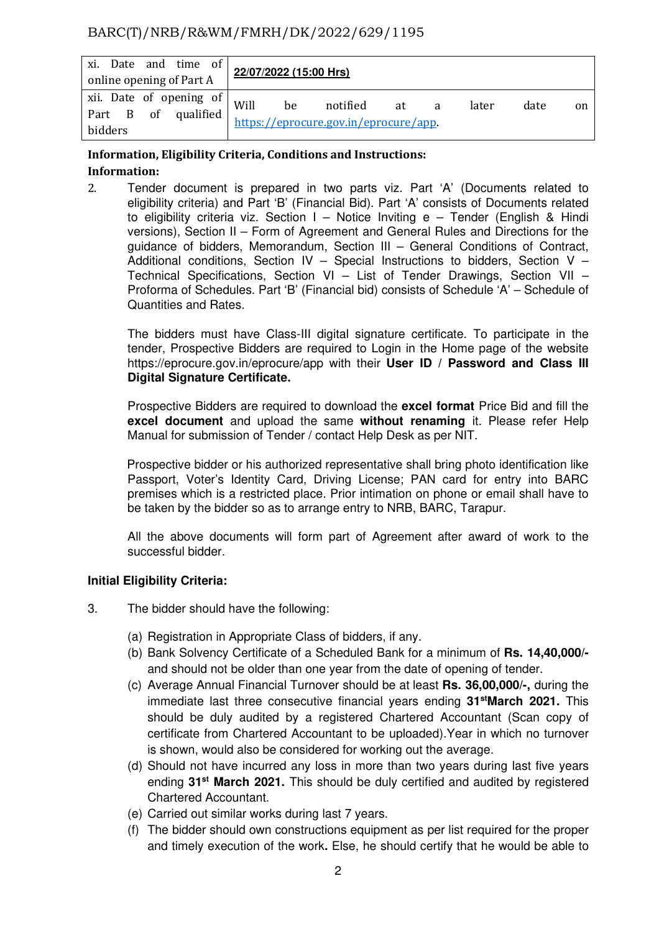| xi. Date and time of<br>online opening of Part A          | 22/07/2022 (15:00 Hrs) |    |                                                   |    |   |       |      |               |
|-----------------------------------------------------------|------------------------|----|---------------------------------------------------|----|---|-------|------|---------------|
| xii. Date of opening of<br>Part B of qualified<br>bidders | Will                   | be | notified<br>https://eprocure.gov.in/eprocure/app. | at | a | later | date | <sub>on</sub> |

### **Information, Eligibility Criteria, Conditions and Instructions: Information:**

2. Tender document is prepared in two parts viz. Part 'A' (Documents related to eligibility criteria) and Part 'B' (Financial Bid). Part 'A' consists of Documents related to eligibility criteria viz. Section I – Notice Inviting e – Tender (English & Hindi versions), Section II – Form of Agreement and General Rules and Directions for the guidance of bidders, Memorandum, Section III – General Conditions of Contract, Additional conditions, Section IV – Special Instructions to bidders, Section V – Technical Specifications, Section VI – List of Tender Drawings, Section VII – Proforma of Schedules. Part 'B' (Financial bid) consists of Schedule 'A' – Schedule of Quantities and Rates.

The bidders must have Class-III digital signature certificate. To participate in the tender, Prospective Bidders are required to Login in the Home page of the website https://eprocure.gov.in/eprocure/app with their **User ID / Password and Class III Digital Signature Certificate.** 

 Prospective Bidders are required to download the **excel format** Price Bid and fill the **excel document** and upload the same **without renaming** it. Please refer Help Manual for submission of Tender / contact Help Desk as per NIT.

Prospective bidder or his authorized representative shall bring photo identification like Passport, Voter's Identity Card, Driving License; PAN card for entry into BARC premises which is a restricted place. Prior intimation on phone or email shall have to be taken by the bidder so as to arrange entry to NRB, BARC, Tarapur.

 All the above documents will form part of Agreement after award of work to the successful bidder.

### **Initial Eligibility Criteria:**

- 3. The bidder should have the following:
	- (a) Registration in Appropriate Class of bidders, if any.
	- (b) Bank Solvency Certificate of a Scheduled Bank for a minimum of **Rs. 14,40,000/**  and should not be older than one year from the date of opening of tender.
	- (c) Average Annual Financial Turnover should be at least **Rs. 36,00,000/-,** during the immediate last three consecutive financial years ending **31stMarch 2021.** This should be duly audited by a registered Chartered Accountant (Scan copy of certificate from Chartered Accountant to be uploaded).Year in which no turnover is shown, would also be considered for working out the average.
	- (d) Should not have incurred any loss in more than two years during last five years ending **31st March 2021.** This should be duly certified and audited by registered Chartered Accountant.
	- (e) Carried out similar works during last 7 years.
	- (f) The bidder should own constructions equipment as per list required for the proper and timely execution of the work**.** Else, he should certify that he would be able to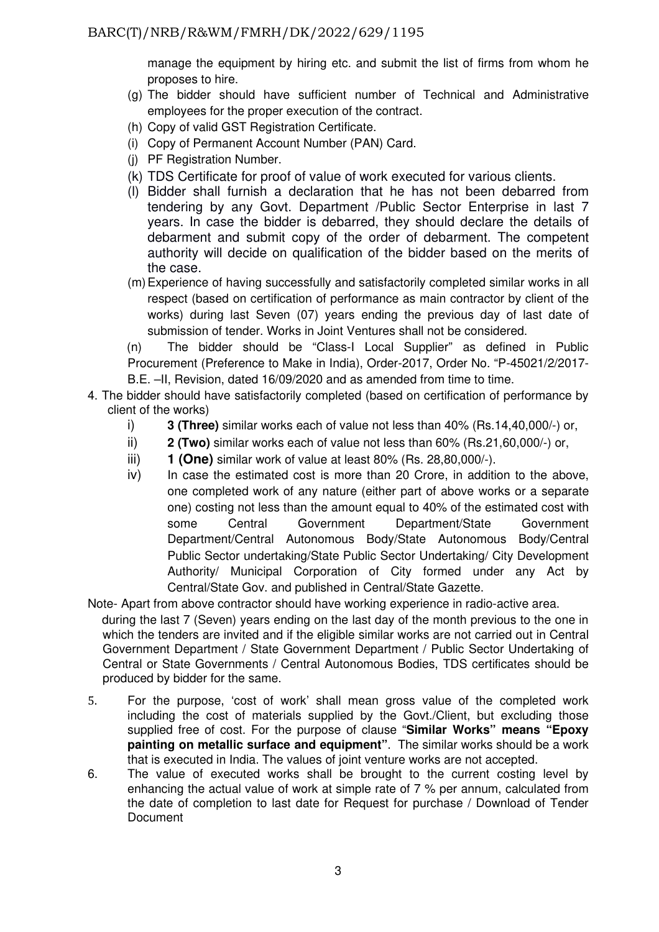manage the equipment by hiring etc. and submit the list of firms from whom he proposes to hire.

- (g) The bidder should have sufficient number of Technical and Administrative employees for the proper execution of the contract.
- (h) Copy of valid GST Registration Certificate.
- (i) Copy of Permanent Account Number (PAN) Card.
- (j) PF Registration Number.
- (k) TDS Certificate for proof of value of work executed for various clients.
- (l) Bidder shall furnish a declaration that he has not been debarred from tendering by any Govt. Department /Public Sector Enterprise in last 7 years. In case the bidder is debarred, they should declare the details of debarment and submit copy of the order of debarment. The competent authority will decide on qualification of the bidder based on the merits of the case.
- (m) Experience of having successfully and satisfactorily completed similar works in all respect (based on certification of performance as main contractor by client of the works) during last Seven (07) years ending the previous day of last date of submission of tender. Works in Joint Ventures shall not be considered.

(n) The bidder should be "Class-I Local Supplier" as defined in Public Procurement (Preference to Make in India), Order-2017, Order No. "P-45021/2/2017- B.E. –II, Revision, dated 16/09/2020 and as amended from time to time.

- 4. The bidder should have satisfactorily completed (based on certification of performance by client of the works)
	- i) **3 (Three)** similar works each of value not less than 40% (Rs.14,40,000/-) or,
	- ii) **2 (Two)** similar works each of value not less than 60% (Rs.21,60,000/-) or,
	- iii) **1 (One)** similar work of value at least 80% (Rs. 28,80,000/-).
	- iv) In case the estimated cost is more than 20 Crore, in addition to the above, one completed work of any nature (either part of above works or a separate one) costing not less than the amount equal to 40% of the estimated cost with some Central Government Department/State Government Department/Central Autonomous Body/State Autonomous Body/Central Public Sector undertaking/State Public Sector Undertaking/ City Development Authority/ Municipal Corporation of City formed under any Act by Central/State Gov. and published in Central/State Gazette.
- Note- Apart from above contractor should have working experience in radio-active area.

during the last 7 (Seven) years ending on the last day of the month previous to the one in which the tenders are invited and if the eligible similar works are not carried out in Central Government Department / State Government Department / Public Sector Undertaking of Central or State Governments / Central Autonomous Bodies, TDS certificates should be produced by bidder for the same.

- 5. For the purpose, 'cost of work' shall mean gross value of the completed work including the cost of materials supplied by the Govt./Client, but excluding those supplied free of cost. For the purpose of clause "**Similar Works" means "Epoxy painting on metallic surface and equipment"**. The similar works should be a work that is executed in India. The values of joint venture works are not accepted.
- 6. The value of executed works shall be brought to the current costing level by enhancing the actual value of work at simple rate of 7 % per annum, calculated from the date of completion to last date for Request for purchase / Download of Tender **Document**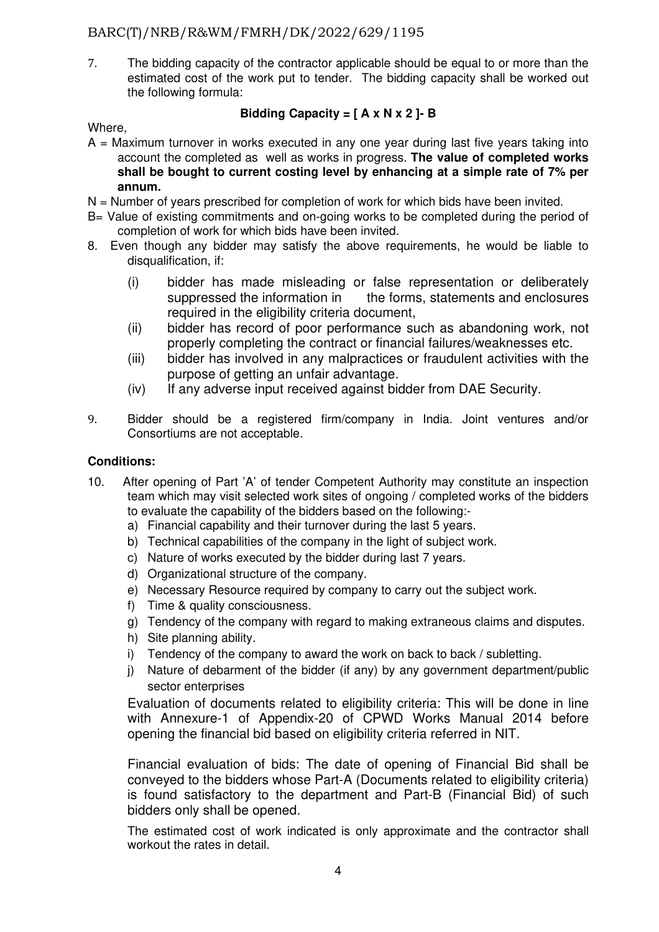7. The bidding capacity of the contractor applicable should be equal to or more than the estimated cost of the work put to tender. The bidding capacity shall be worked out the following formula:

### **Bidding Capacity = [ A x N x 2 ]- B**

Where,

- A = Maximum turnover in works executed in any one year during last five years taking into account the completed as well as works in progress. **The value of completed works shall be bought to current costing level by enhancing at a simple rate of 7% per annum.**
- $N =$  Number of years prescribed for completion of work for which bids have been invited.
- B= Value of existing commitments and on-going works to be completed during the period of completion of work for which bids have been invited.
- 8. Even though any bidder may satisfy the above requirements, he would be liable to disqualification, if:
	- (i) bidder has made misleading or false representation or deliberately suppressed the information in the forms, statements and enclosures required in the eligibility criteria document.
	- (ii) bidder has record of poor performance such as abandoning work, not properly completing the contract or financial failures/weaknesses etc.
	- (iii) bidder has involved in any malpractices or fraudulent activities with the purpose of getting an unfair advantage.
	- (iv) If any adverse input received against bidder from DAE Security.
- 9. Bidder should be a registered firm/company in India. Joint ventures and/or Consortiums are not acceptable.

### **Conditions:**

- 10. After opening of Part 'A' of tender Competent Authority may constitute an inspection team which may visit selected work sites of ongoing / completed works of the bidders to evaluate the capability of the bidders based on the following:
	- a) Financial capability and their turnover during the last 5 years.
	- b) Technical capabilities of the company in the light of subject work.
	- c) Nature of works executed by the bidder during last 7 years.
	- d) Organizational structure of the company.
	- e) Necessary Resource required by company to carry out the subject work.
	- f) Time & quality consciousness.
	- g) Tendency of the company with regard to making extraneous claims and disputes.
	- h) Site planning ability.
	- i) Tendency of the company to award the work on back to back / subletting.
	- j) Nature of debarment of the bidder (if any) by any government department/public sector enterprises

Evaluation of documents related to eligibility criteria: This will be done in line with Annexure-1 of Appendix-20 of CPWD Works Manual 2014 before opening the financial bid based on eligibility criteria referred in NIT.

Financial evaluation of bids: The date of opening of Financial Bid shall be conveyed to the bidders whose Part-A (Documents related to eligibility criteria) is found satisfactory to the department and Part-B (Financial Bid) of such bidders only shall be opened.

The estimated cost of work indicated is only approximate and the contractor shall workout the rates in detail.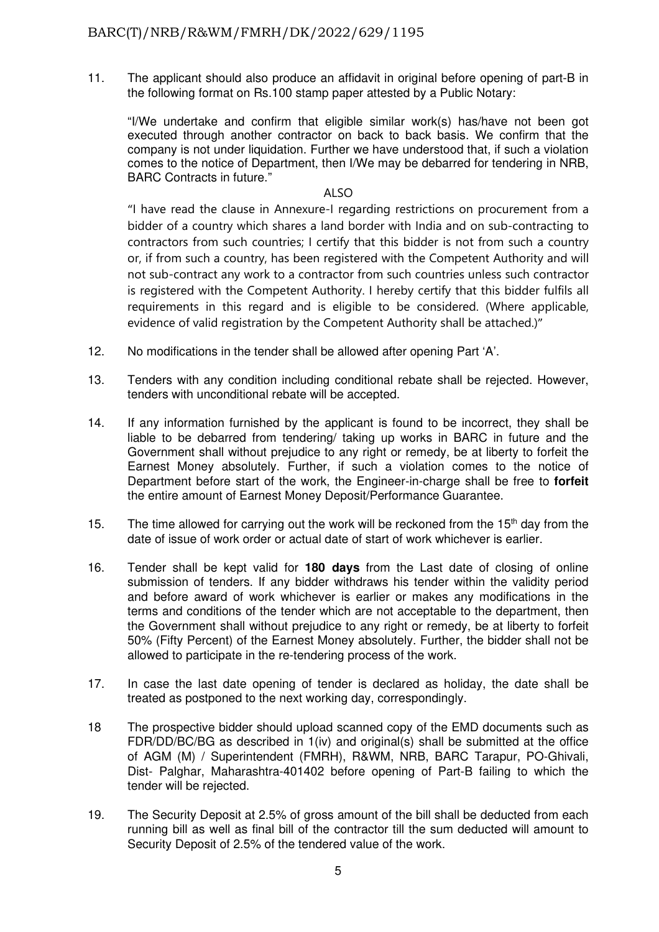11. The applicant should also produce an affidavit in original before opening of part-B in the following format on Rs.100 stamp paper attested by a Public Notary:

 "I/We undertake and confirm that eligible similar work(s) has/have not been got executed through another contractor on back to back basis. We confirm that the company is not under liquidation. Further we have understood that, if such a violation comes to the notice of Department, then I/We may be debarred for tendering in NRB, BARC Contracts in future."

#### ALSO

"I have read the clause in Annexure-I regarding restrictions on procurement from a bidder of a country which shares a land border with India and on sub-contracting to contractors from such countries; I certify that this bidder is not from such a country or, if from such a country, has been registered with the Competent Authority and will not sub-contract any work to a contractor from such countries unless such contractor is registered with the Competent Authority. I hereby certify that this bidder fulfils all requirements in this regard and is eligible to be considered. (Where applicable, evidence of valid registration by the Competent Authority shall be attached.)"

- 12. No modifications in the tender shall be allowed after opening Part 'A'.
- 13. Tenders with any condition including conditional rebate shall be rejected. However, tenders with unconditional rebate will be accepted.
- 14. If any information furnished by the applicant is found to be incorrect, they shall be liable to be debarred from tendering/ taking up works in BARC in future and the Government shall without prejudice to any right or remedy, be at liberty to forfeit the Earnest Money absolutely. Further, if such a violation comes to the notice of Department before start of the work, the Engineer-in-charge shall be free to **forfeit**  the entire amount of Earnest Money Deposit/Performance Guarantee.
- 15. The time allowed for carrying out the work will be reckoned from the 15<sup>th</sup> day from the date of issue of work order or actual date of start of work whichever is earlier.
- 16. Tender shall be kept valid for **180 days** from the Last date of closing of online submission of tenders. If any bidder withdraws his tender within the validity period and before award of work whichever is earlier or makes any modifications in the terms and conditions of the tender which are not acceptable to the department, then the Government shall without prejudice to any right or remedy, be at liberty to forfeit 50% (Fifty Percent) of the Earnest Money absolutely. Further, the bidder shall not be allowed to participate in the re-tendering process of the work.
- 17. In case the last date opening of tender is declared as holiday, the date shall be treated as postponed to the next working day, correspondingly.
- 18 The prospective bidder should upload scanned copy of the EMD documents such as FDR/DD/BC/BG as described in 1(iv) and original(s) shall be submitted at the office of AGM (M) / Superintendent (FMRH), R&WM, NRB, BARC Tarapur, PO-Ghivali, Dist- Palghar, Maharashtra-401402 before opening of Part-B failing to which the tender will be rejected.
- 19. The Security Deposit at 2.5% of gross amount of the bill shall be deducted from each running bill as well as final bill of the contractor till the sum deducted will amount to Security Deposit of 2.5% of the tendered value of the work.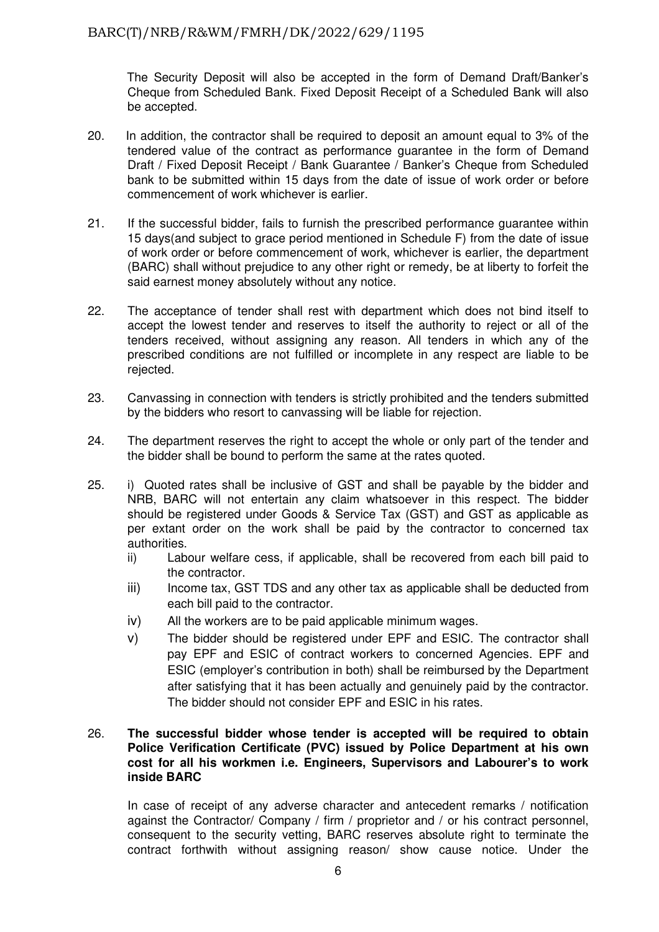The Security Deposit will also be accepted in the form of Demand Draft/Banker's Cheque from Scheduled Bank. Fixed Deposit Receipt of a Scheduled Bank will also be accepted.

- 20. In addition, the contractor shall be required to deposit an amount equal to 3% of the tendered value of the contract as performance guarantee in the form of Demand Draft / Fixed Deposit Receipt / Bank Guarantee / Banker's Cheque from Scheduled bank to be submitted within 15 days from the date of issue of work order or before commencement of work whichever is earlier.
- 21. If the successful bidder, fails to furnish the prescribed performance guarantee within 15 days(and subject to grace period mentioned in Schedule F) from the date of issue of work order or before commencement of work, whichever is earlier, the department (BARC) shall without prejudice to any other right or remedy, be at liberty to forfeit the said earnest money absolutely without any notice.
- 22. The acceptance of tender shall rest with department which does not bind itself to accept the lowest tender and reserves to itself the authority to reject or all of the tenders received, without assigning any reason. All tenders in which any of the prescribed conditions are not fulfilled or incomplete in any respect are liable to be rejected.
- 23. Canvassing in connection with tenders is strictly prohibited and the tenders submitted by the bidders who resort to canvassing will be liable for rejection.
- 24. The department reserves the right to accept the whole or only part of the tender and the bidder shall be bound to perform the same at the rates quoted.
- 25. i) Quoted rates shall be inclusive of GST and shall be payable by the bidder and NRB, BARC will not entertain any claim whatsoever in this respect. The bidder should be registered under Goods & Service Tax (GST) and GST as applicable as per extant order on the work shall be paid by the contractor to concerned tax authorities.
	- ii) Labour welfare cess, if applicable, shall be recovered from each bill paid to the contractor.
	- iii) Income tax, GST TDS and any other tax as applicable shall be deducted from each bill paid to the contractor.
	- iv) All the workers are to be paid applicable minimum wages.
	- v) The bidder should be registered under EPF and ESIC. The contractor shall pay EPF and ESIC of contract workers to concerned Agencies. EPF and ESIC (employer's contribution in both) shall be reimbursed by the Department after satisfying that it has been actually and genuinely paid by the contractor. The bidder should not consider EPF and ESIC in his rates.

### 26. **The successful bidder whose tender is accepted will be required to obtain Police Verification Certificate (PVC) issued by Police Department at his own cost for all his workmen i.e. Engineers, Supervisors and Labourer's to work inside BARC**

In case of receipt of any adverse character and antecedent remarks / notification against the Contractor/ Company / firm / proprietor and / or his contract personnel, consequent to the security vetting, BARC reserves absolute right to terminate the contract forthwith without assigning reason/ show cause notice. Under the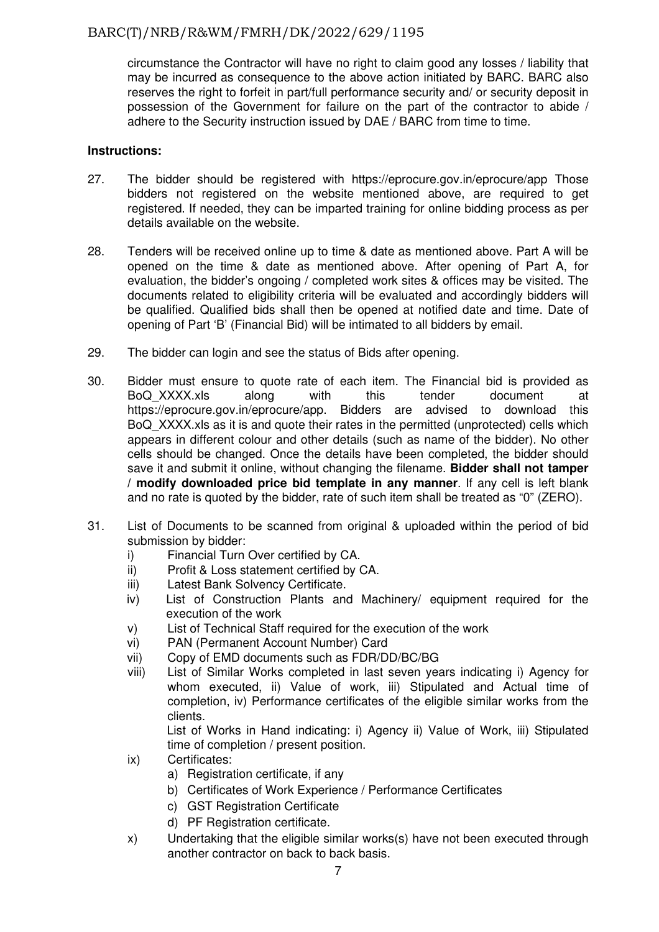circumstance the Contractor will have no right to claim good any losses / liability that may be incurred as consequence to the above action initiated by BARC. BARC also reserves the right to forfeit in part/full performance security and/ or security deposit in possession of the Government for failure on the part of the contractor to abide / adhere to the Security instruction issued by DAE / BARC from time to time.

### **Instructions:**

- 27. The bidder should be registered with https://eprocure.gov.in/eprocure/app Those bidders not registered on the website mentioned above, are required to get registered. If needed, they can be imparted training for online bidding process as per details available on the website.
- 28. Tenders will be received online up to time & date as mentioned above. Part A will be opened on the time & date as mentioned above. After opening of Part A, for evaluation, the bidder's ongoing / completed work sites & offices may be visited. The documents related to eligibility criteria will be evaluated and accordingly bidders will be qualified. Qualified bids shall then be opened at notified date and time. Date of opening of Part 'B' (Financial Bid) will be intimated to all bidders by email.
- 29. The bidder can login and see the status of Bids after opening.
- 30. Bidder must ensure to quote rate of each item. The Financial bid is provided as BoQ\_XXXX.xls along with this tender document at https://eprocure.gov.in/eprocure/app. Bidders are advised to download this BoQ\_XXXX.xls as it is and quote their rates in the permitted (unprotected) cells which appears in different colour and other details (such as name of the bidder). No other cells should be changed. Once the details have been completed, the bidder should save it and submit it online, without changing the filename. **Bidder shall not tamper / modify downloaded price bid template in any manner**. If any cell is left blank and no rate is quoted by the bidder, rate of such item shall be treated as "0" (ZERO).
- 31. List of Documents to be scanned from original & uploaded within the period of bid submission by bidder:
	- i) Financial Turn Over certified by CA.
	- ii) Profit & Loss statement certified by CA.
	- iii) Latest Bank Solvency Certificate.
	- iv) List of Construction Plants and Machinery/ equipment required for the execution of the work
	- v) List of Technical Staff required for the execution of the work
	- vi) PAN (Permanent Account Number) Card
	- vii) Copy of EMD documents such as FDR/DD/BC/BG
	- viii) List of Similar Works completed in last seven years indicating i) Agency for whom executed, ii) Value of work, iii) Stipulated and Actual time of completion, iv) Performance certificates of the eligible similar works from the clients.

List of Works in Hand indicating: i) Agency ii) Value of Work, iii) Stipulated time of completion / present position.

- ix) Certificates:
	- a) Registration certificate, if any
		- b) Certificates of Work Experience / Performance Certificates
		- c) GST Registration Certificate
		- d) PF Registration certificate.
- x) Undertaking that the eligible similar works(s) have not been executed through another contractor on back to back basis.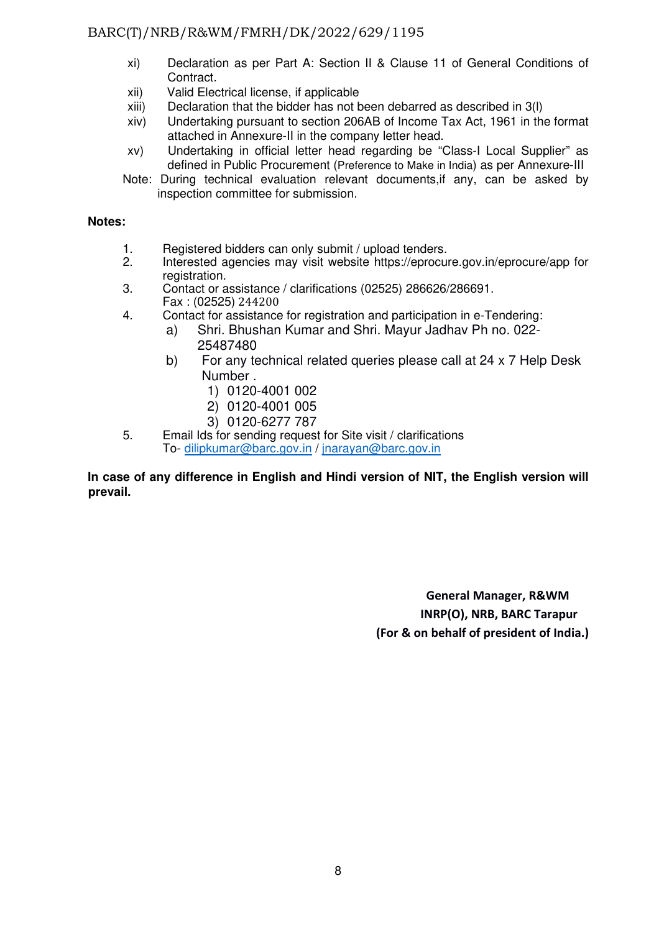- xi) Declaration as per Part A: Section II & Clause 11 of General Conditions of Contract.
- xii) Valid Electrical license, if applicable
- xiii) Declaration that the bidder has not been debarred as described in 3(l)
- xiv) Undertaking pursuant to section 206AB of Income Tax Act, 1961 in the format attached in Annexure-II in the company letter head.
- xv) Undertaking in official letter head regarding be "Class-I Local Supplier" as defined in Public Procurement (Preference to Make in India) as per Annexure-III
- Note: During technical evaluation relevant documents,if any, can be asked by inspection committee for submission.

### **Notes:**

- 1. Registered bidders can only submit / upload tenders.<br>2. Interested agencies may visit website https://eprocul
- 2. Interested agencies may visit website https://eprocure.gov.in/eprocure/app for registration.
- 3. Contact or assistance / clarifications (02525) 286626/286691. Fax : (02525) 244200<br>Gontact for assistance
- Contact for assistance for registration and participation in e-Tendering:
	- a) Shri. Bhushan Kumar and Shri. Mayur Jadhav Ph no. 022- 25487480
	- b) For any technical related queries please call at 24 x 7 Help Desk Number .
		- 1) 0120-4001 002
		- 2) 0120-4001 005
		- 3) 0120-6277 787
- 5. Email Ids for sending request for Site visit / clarifications To- dilipkumar@barc.gov.in / jnarayan@barc.gov.in

### **In case of any difference in English and Hindi version of NIT, the English version will prevail.**

**General Manager, R&WM INRP(O), NRB, BARC Tarapur (For & on behalf of president of India.)**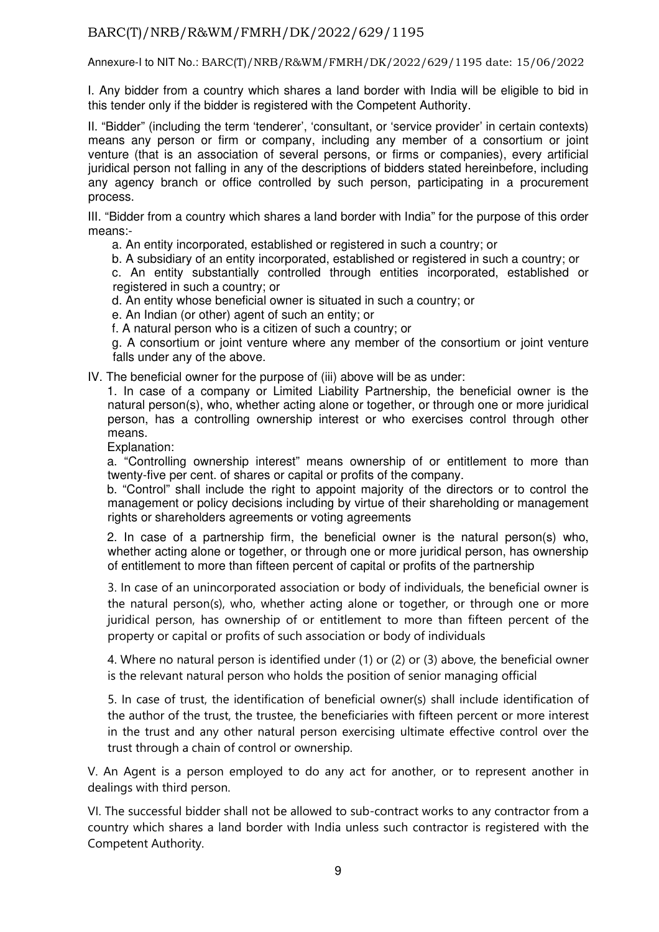Annexure-I to NIT No.: BARC(T)/NRB/R&WM/FMRH/DK/2022/629/1195 date: 15/06/2022

I. Any bidder from a country which shares a land border with India will be eligible to bid in this tender only if the bidder is registered with the Competent Authority.

II. "Bidder" (including the term 'tenderer', 'consultant, or 'service provider' in certain contexts) means any person or firm or company, including any member of a consortium or joint venture (that is an association of several persons, or firms or companies), every artificial juridical person not falling in any of the descriptions of bidders stated hereinbefore, including any agency branch or office controlled by such person, participating in a procurement process.

III. "Bidder from a country which shares a land border with India" for the purpose of this order means:-

a. An entity incorporated, established or registered in such a country; or

b. A subsidiary of an entity incorporated, established or registered in such a country; or

c. An entity substantially controlled through entities incorporated, established or registered in such a country; or

d. An entity whose beneficial owner is situated in such a country; or

e. An Indian (or other) agent of such an entity; or

f. A natural person who is a citizen of such a country; or

g. A consortium or joint venture where any member of the consortium or joint venture falls under any of the above.

IV. The beneficial owner for the purpose of (iii) above will be as under:

1. In case of a company or Limited Liability Partnership, the beneficial owner is the natural person(s), who, whether acting alone or together, or through one or more juridical person, has a controlling ownership interest or who exercises control through other means.

Explanation:

a. "Controlling ownership interest" means ownership of or entitlement to more than twenty-five per cent. of shares or capital or profits of the company.

b. "Control" shall include the right to appoint majority of the directors or to control the management or policy decisions including by virtue of their shareholding or management rights or shareholders agreements or voting agreements

2. In case of a partnership firm, the beneficial owner is the natural person(s) who, whether acting alone or together, or through one or more juridical person, has ownership of entitlement to more than fifteen percent of capital or profits of the partnership

3. In case of an unincorporated association or body of individuals, the beneficial owner is the natural person(s), who, whether acting alone or together, or through one or more juridical person, has ownership of or entitlement to more than fifteen percent of the property or capital or profits of such association or body of individuals

4. Where no natural person is identified under (1) or (2) or (3) above, the beneficial owner is the relevant natural person who holds the position of senior managing official

5. In case of trust, the identification of beneficial owner(s) shall include identification of the author of the trust, the trustee, the beneficiaries with fifteen percent or more interest in the trust and any other natural person exercising ultimate effective control over the trust through a chain of control or ownership.

V. An Agent is a person employed to do any act for another, or to represent another in dealings with third person.

VI. The successful bidder shall not be allowed to sub-contract works to any contractor from a country which shares a land border with India unless such contractor is registered with the Competent Authority.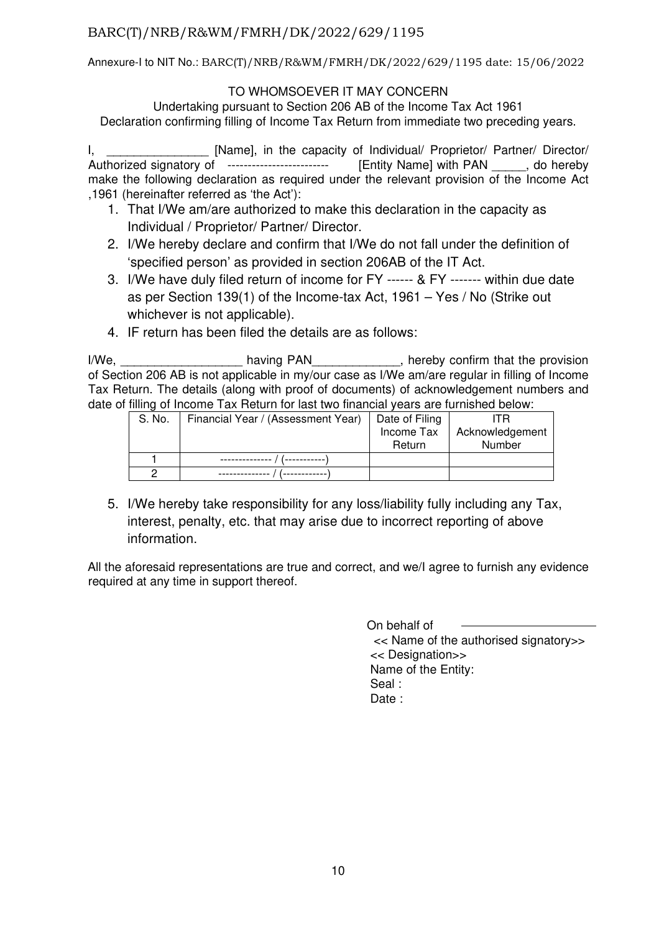Annexure-I to NIT No.: BARC(T)/NRB/R&WM/FMRH/DK/2022/629/1195 date: 15/06/2022

### TO WHOMSOEVER IT MAY CONCERN

Undertaking pursuant to Section 206 AB of the Income Tax Act 1961 Declaration confirming filling of Income Tax Return from immediate two preceding years.

I, Sammon and The Capacity of Individual/ Proprietor/ Partner/ Director/ Authorized signatory of ------------------------- [Entity Name] with PAN \_\_\_\_\_, do hereby make the following declaration as required under the relevant provision of the Income Act ,1961 (hereinafter referred as 'the Act'):

- 1. That I/We am/are authorized to make this declaration in the capacity as Individual / Proprietor/ Partner/ Director.
- 2. I/We hereby declare and confirm that I/We do not fall under the definition of 'specified person' as provided in section 206AB of the IT Act.
- 3. I/We have duly filed return of income for FY ------ & FY ------- within due date as per Section 139(1) of the Income-tax Act, 1961 – Yes / No (Strike out whichever is not applicable).
- 4. IF return has been filed the details are as follows:

I/We, \_\_\_\_\_\_\_\_\_\_\_\_\_\_\_\_\_\_\_\_\_\_\_\_ having PAN\_\_\_\_\_\_\_\_\_\_\_\_\_\_\_, hereby confirm that the provision of Section 206 AB is not applicable in my/our case as I/We am/are regular in filling of Income Tax Return. The details (along with proof of documents) of acknowledgement numbers and date of filling of Income Tax Return for last two financial years are furnished below:

| S. No. | Financial Year / (Assessment Year) | Date of Filing | ITR             |
|--------|------------------------------------|----------------|-----------------|
|        |                                    | Income Tax     | Acknowledgement |
|        |                                    | Return         | Number          |
|        |                                    |                |                 |
|        |                                    |                |                 |

5. I/We hereby take responsibility for any loss/liability fully including any Tax, interest, penalty, etc. that may arise due to incorrect reporting of above information.

All the aforesaid representations are true and correct, and we/I agree to furnish any evidence required at any time in support thereof.

> On behalf of << Name of the authorised signatory>> << Designation>> Name of the Entity: Seal : Date :